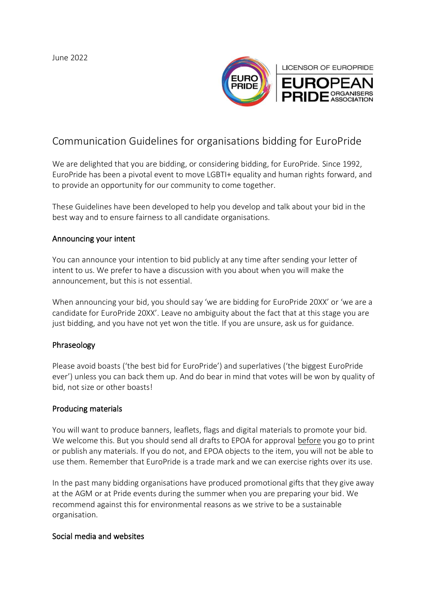June 2022



# Communication Guidelines for organisations bidding for EuroPride

We are delighted that you are bidding, or considering bidding, for EuroPride. Since 1992, EuroPride has been a pivotal event to move LGBTI+ equality and human rights forward, and to provide an opportunity for our community to come together.

These Guidelines have been developed to help you develop and talk about your bid in the best way and to ensure fairness to all candidate organisations.

#### Announcing your intent

You can announce your intention to bid publicly at any time after sending your letter of intent to us. We prefer to have a discussion with you about when you will make the announcement, but this is not essential.

When announcing your bid, you should say 'we are bidding for EuroPride 20XX' or 'we are a candidate for EuroPride 20XX'. Leave no ambiguity about the fact that at this stage you are just bidding, and you have not yet won the title. If you are unsure, ask us for guidance.

## Phraseology

Please avoid boasts ('the best bid for EuroPride') and superlatives ('the biggest EuroPride ever') unless you can back them up. And do bear in mind that votes will be won by quality of bid, not size or other boasts!

## Producing materials

You will want to produce banners, leaflets, flags and digital materials to promote your bid. We welcome this. But you should send all drafts to EPOA for approval before you go to print or publish any materials. If you do not, and EPOA objects to the item, you will not be able to use them. Remember that EuroPride is a trade mark and we can exercise rights over its use.

In the past many bidding organisations have produced promotional gifts that they give away at the AGM or at Pride events during the summer when you are preparing your bid. We recommend against this for environmental reasons as we strive to be a sustainable organisation.

#### Social media and websites